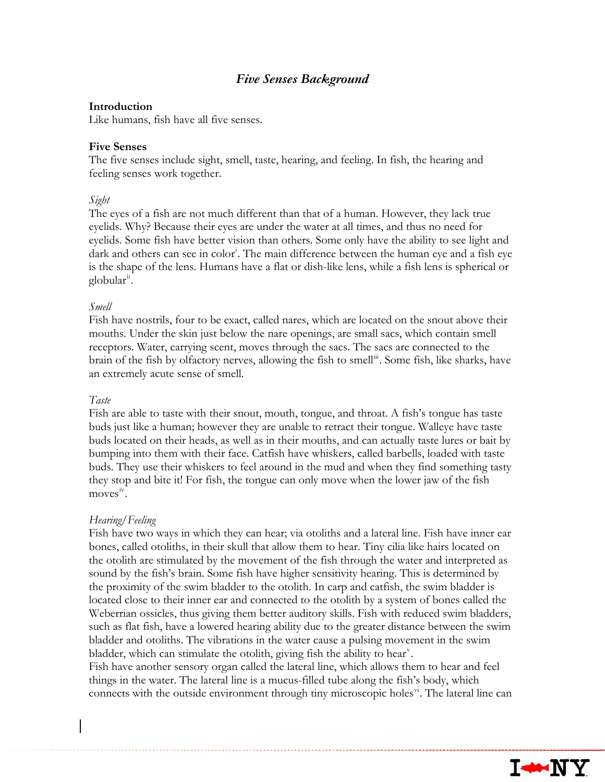# *Five Senses Background*

#### **Introduction**

Like humans, fish have all five senses.

#### **Five Senses**

The five senses include sight, smell, taste, hearing, and feeling. In fish, the hearing and feeling senses work together.

#### *Sight*

The eyes of a fish are not much different than that of a human. However, they lack true eyelids. Why? Because their eyes are under the water at all times, and thus no need for eyelids. Some fish have better vision than others. Some only have the ability to see light and dark and others can see [i](#page-1-0)n color<sup>i</sup>. The main difference between the human eye and a fish eye is the shape of the lens. Humans have a flat or dish-like lens, while a fish lens is spherical or globular<sup>[ii](#page-1-1)</sup>.

#### *Smell*

Fish have nostrils, four to be exact, called nares, which are located on the snout above their mouths. Under the skin just below the nare openings, are small sacs, which contain smell receptors. Water, carrying scent, moves through the sacs. The sacs are connected to the brain of the fish by olfactory nerves, allowing the fish to smell<sup>[iii](#page-1-2)</sup>. Some fish, like sharks, have an extremely acute sense of smell.

#### *Taste*

Fish are able to taste with their snout, mouth, tongue, and throat. A fish's tongue has taste buds just like a human; however they are unable to retract their tongue. Walleye have taste buds located on their heads, as well as in their mouths, and can actually taste lures or bait by bumping into them with their face. Catfish have whiskers, called barbells, loaded with taste buds. They use their whiskers to feel around in the mud and when they find something tasty they stop and bite it! For fish, the tongue can only move when the lower jaw of the fish  $moves<sup>iv</sup>$  $moves<sup>iv</sup>$  $moves<sup>iv</sup>$ .

### *Hearing/Feeling*

Fish have two ways in which they can hear; via otoliths and a lateral line. Fish have inner ear bones, called otoliths, in their skull that allow them to hear. Tiny cilia like hairs located on the otolith are stimulated by the movement of the fish through the water and interpreted as sound by the fish's brain. Some fish have higher sensitivity hearing. This is determined by the proximity of the swim bladder to the otolith. In carp and catfish, the swim bladder is located close to their inner ear and connected to the otolith by a system of bones called the Weberrian ossicles, thus giving them better auditory skills. Fish with reduced swim bladders, such as flat fish, have a lowered hearing ability due to the greater distance between the swim bladder and otoliths. The vibrations in the water cause a pulsing movement in the swim bladder, which can stimulate the otolith, gi[v](#page-1-4)ing fish the ability to hear<sup>v</sup>.

Fish have another sensory organ called the lateral line, which allows them to hear and feel things in the water. The lateral line is a mucus-filled tube along the fish's body, which connects with the outside en[vi](#page-1-5)ronment through tiny microscopic holes<sup>v</sup>. The lateral line can

**I-MNY**